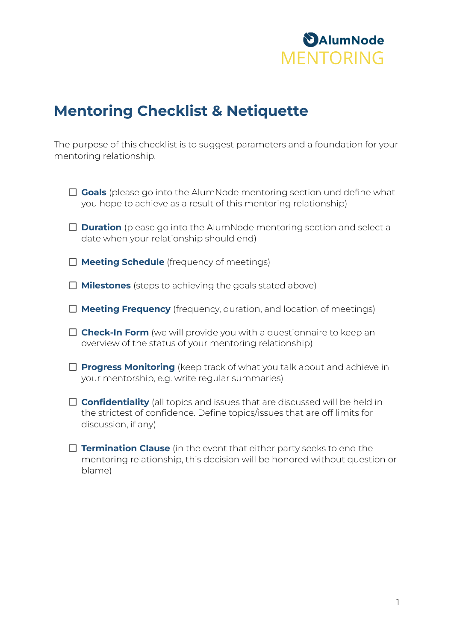

#### **Mentoring Checklist & Netiquette**

The purpose of this checklist is to suggest parameters and a foundation for your mentoring relationship.

- □ Goals (please go into the AlumNode mentoring section und define what you hope to achieve as a result of this mentoring relationship)
- □ **Duration** (please go into the AlumNode mentoring section and select a date when your relationship should end)
- **Meeting Schedule** (frequency of meetings)
- □ **Milestones** (steps to achieving the goals stated above)
- **Meeting Frequency** (frequency, duration, and location of meetings)
- **Check-In Form** (we will provide you with a questionnaire to keep an overview of the status of your mentoring relationship)
- **Progress Monitoring** (keep track of what you talk about and achieve in your mentorship, e.g. write regular summaries)
- **Confidentiality** (all topics and issues that are discussed will be held in the strictest of confidence. Define topics/issues that are off limits for discussion, if any)
- **Termination Clause** (in the event that either party seeks to end the mentoring relationship, this decision will be honored without question or blame)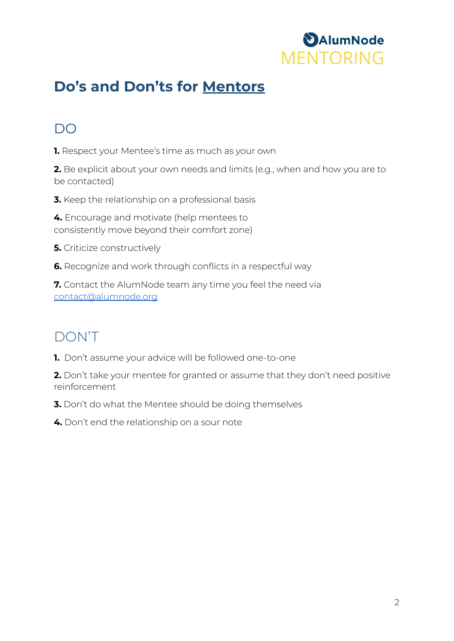

# **Do's and Don'ts for Mentors**

#### DO

**1.** Respect your Mentee's time as much as your own

**2.** Be explicit about your own needs and limits (e.g., when and how you are to be contacted)

**3.** Keep the relationship on a professional basis

**4.** Encourage and motivate (help mentees to consistently move beyond their comfort zone)

**5.** Criticize constructively

**6.** Recognize and work through conflicts in a respectful way

**7.** Contact the AlumNode team any time you feel the need via [contact@alumnode.org](mailto:contact@alumnode.org)

## DON'T

**1.** Don't assume your advice will be followed one-to-one

**2.** Don't take your mentee for granted or assume that they don't need positive reinforcement

- **3.** Don't do what the Mentee should be doing themselves
- **4.** Don't end the relationship on a sour note